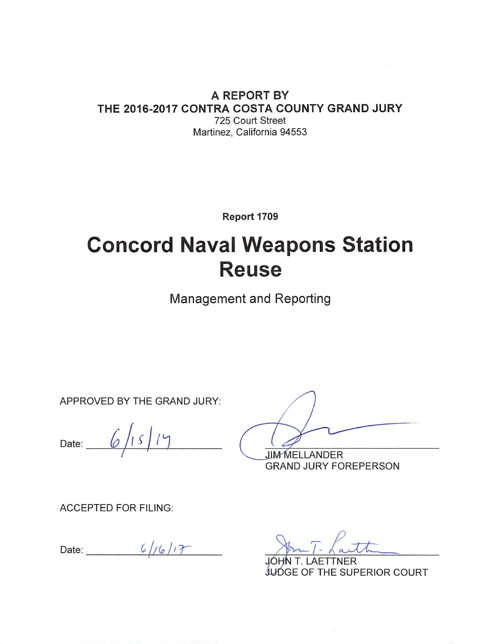#### A REPORT BY THE 2016-2017 CONTRA COSTA COUNTY GRAND JURY 725 Court Street

Martinez, California 94553

Report 1709

# **Concord Naval Weapons Station Reuse**

**Management and Reporting** 

APPROVED BY THE GRAND JURY:

Date:  $6/15/19$ 

**JIM MELLANDER GRAND JURY FOREPERSON** 

**ACCEPTED FOR FILING:** 

Date:  $\frac{6}{16}$ 

JUDGE OF THE SUPERIOR COURT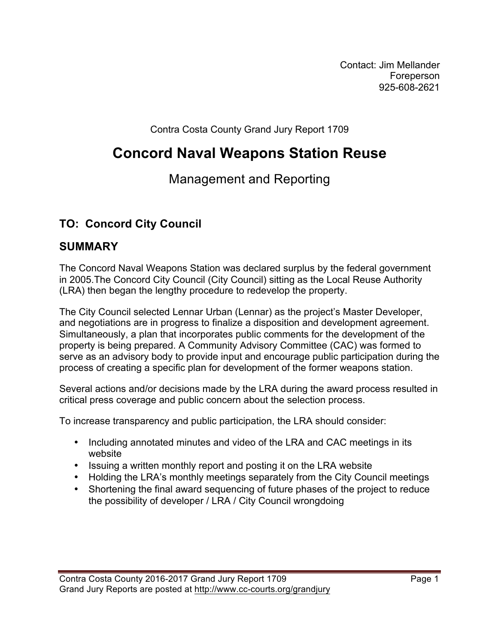Contact: Jim Mellander Foreperson 925-608-2621

Contra Costa County Grand Jury Report 1709

# **Concord Naval Weapons Station Reuse**

# Management and Reporting

# **TO: Concord City Council**

# **SUMMARY**

The Concord Naval Weapons Station was declared surplus by the federal government in 2005.The Concord City Council (City Council) sitting as the Local Reuse Authority (LRA) then began the lengthy procedure to redevelop the property.

The City Council selected Lennar Urban (Lennar) as the project's Master Developer, and negotiations are in progress to finalize a disposition and development agreement. Simultaneously, a plan that incorporates public comments for the development of the property is being prepared. A Community Advisory Committee (CAC) was formed to serve as an advisory body to provide input and encourage public participation during the process of creating a specific plan for development of the former weapons station.

Several actions and/or decisions made by the LRA during the award process resulted in critical press coverage and public concern about the selection process.

To increase transparency and public participation, the LRA should consider:

- Including annotated minutes and video of the LRA and CAC meetings in its website
- Issuing a written monthly report and posting it on the LRA website
- Holding the LRA's monthly meetings separately from the City Council meetings
- Shortening the final award sequencing of future phases of the project to reduce the possibility of developer / LRA / City Council wrongdoing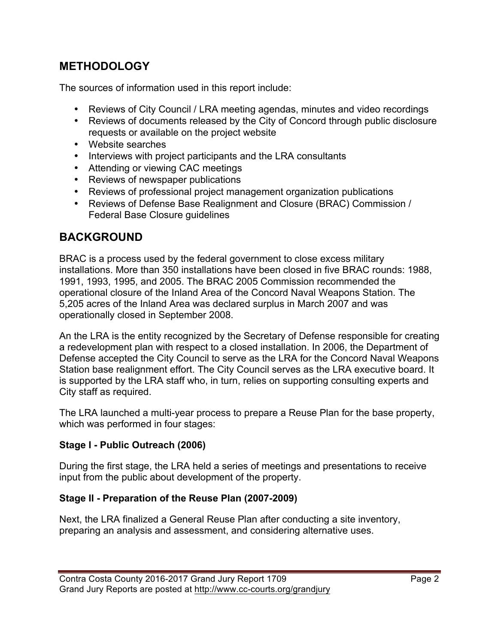# **METHODOLOGY**

The sources of information used in this report include:

- Reviews of City Council / LRA meeting agendas, minutes and video recordings
- Reviews of documents released by the City of Concord through public disclosure requests or available on the project website
- Website searches
- Interviews with project participants and the LRA consultants
- Attending or viewing CAC meetings
- Reviews of newspaper publications
- Reviews of professional project management organization publications
- Reviews of Defense Base Realignment and Closure (BRAC) Commission / Federal Base Closure guidelines

## **BACKGROUND**

BRAC is a process used by the federal government to close excess military installations. More than 350 installations have been closed in five BRAC rounds: 1988, 1991, 1993, 1995, and 2005. The BRAC 2005 Commission recommended the operational closure of the Inland Area of the Concord Naval Weapons Station. The 5,205 acres of the Inland Area was declared surplus in March 2007 and was operationally closed in September 2008.

An the LRA is the entity recognized by the Secretary of Defense responsible for creating a redevelopment plan with respect to a closed installation. In 2006, the Department of Defense accepted the City Council to serve as the LRA for the Concord Naval Weapons Station base realignment effort. The City Council serves as the LRA executive board. It is supported by the LRA staff who, in turn, relies on supporting consulting experts and City staff as required.

The LRA launched a multi-year process to prepare a Reuse Plan for the base property, which was performed in four stages:

#### **Stage I - Public Outreach (2006)**

During the first stage, the LRA held a series of meetings and presentations to receive input from the public about development of the property.

#### **Stage II - Preparation of the Reuse Plan (2007-2009)**

Next, the LRA finalized a General Reuse Plan after conducting a site inventory, preparing an analysis and assessment, and considering alternative uses.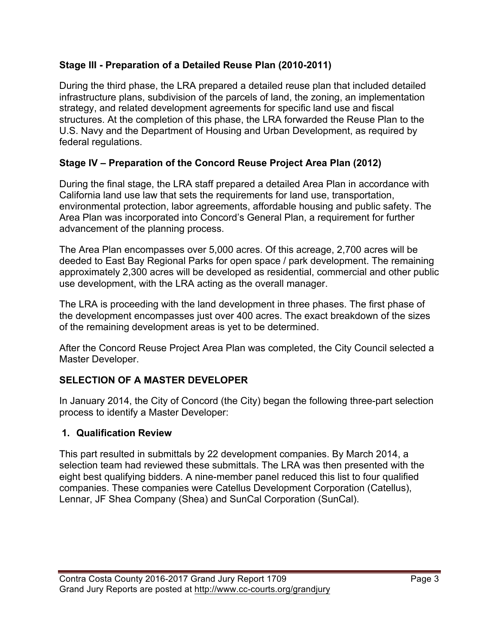#### **Stage III - Preparation of a Detailed Reuse Plan (2010-2011)**

During the third phase, the LRA prepared a detailed reuse plan that included detailed infrastructure plans, subdivision of the parcels of land, the zoning, an implementation strategy, and related development agreements for specific land use and fiscal structures. At the completion of this phase, the LRA forwarded the Reuse Plan to the U.S. Navy and the Department of Housing and Urban Development, as required by federal regulations.

#### **Stage IV – Preparation of the Concord Reuse Project Area Plan (2012)**

During the final stage, the LRA staff prepared a detailed Area Plan in accordance with California land use law that sets the requirements for land use, transportation, environmental protection, labor agreements, affordable housing and public safety. The Area Plan was incorporated into Concord's General Plan, a requirement for further advancement of the planning process.

The Area Plan encompasses over 5,000 acres. Of this acreage, 2,700 acres will be deeded to East Bay Regional Parks for open space / park development. The remaining approximately 2,300 acres will be developed as residential, commercial and other public use development, with the LRA acting as the overall manager.

The LRA is proceeding with the land development in three phases. The first phase of the development encompasses just over 400 acres. The exact breakdown of the sizes of the remaining development areas is yet to be determined.

After the Concord Reuse Project Area Plan was completed, the City Council selected a Master Developer.

#### **SELECTION OF A MASTER DEVELOPER**

In January 2014, the City of Concord (the City) began the following three-part selection process to identify a Master Developer:

#### **1. Qualification Review**

This part resulted in submittals by 22 development companies. By March 2014, a selection team had reviewed these submittals. The LRA was then presented with the eight best qualifying bidders. A nine-member panel reduced this list to four qualified companies. These companies were Catellus Development Corporation (Catellus), Lennar, JF Shea Company (Shea) and SunCal Corporation (SunCal).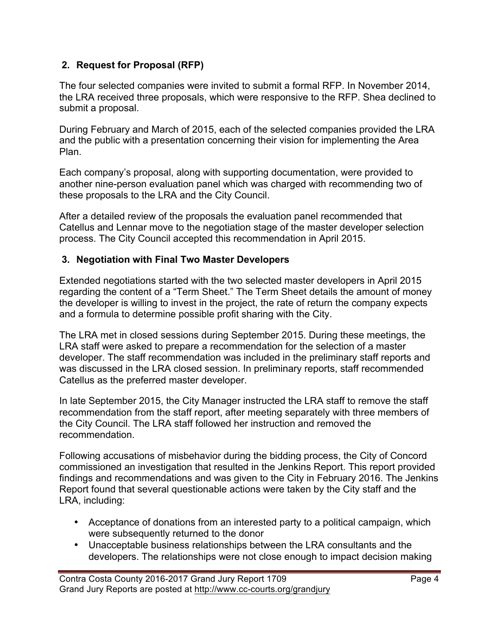#### **2. Request for Proposal (RFP)**

The four selected companies were invited to submit a formal RFP. In November 2014, the LRA received three proposals, which were responsive to the RFP. Shea declined to submit a proposal.

During February and March of 2015, each of the selected companies provided the LRA and the public with a presentation concerning their vision for implementing the Area Plan.

Each company's proposal, along with supporting documentation, were provided to another nine-person evaluation panel which was charged with recommending two of these proposals to the LRA and the City Council.

After a detailed review of the proposals the evaluation panel recommended that Catellus and Lennar move to the negotiation stage of the master developer selection process. The City Council accepted this recommendation in April 2015.

#### **3. Negotiation with Final Two Master Developers**

Extended negotiations started with the two selected master developers in April 2015 regarding the content of a "Term Sheet." The Term Sheet details the amount of money the developer is willing to invest in the project, the rate of return the company expects and a formula to determine possible profit sharing with the City.

The LRA met in closed sessions during September 2015. During these meetings, the LRA staff were asked to prepare a recommendation for the selection of a master developer. The staff recommendation was included in the preliminary staff reports and was discussed in the LRA closed session. In preliminary reports, staff recommended Catellus as the preferred master developer.

In late September 2015, the City Manager instructed the LRA staff to remove the staff recommendation from the staff report, after meeting separately with three members of the City Council. The LRA staff followed her instruction and removed the recommendation.

Following accusations of misbehavior during the bidding process, the City of Concord commissioned an investigation that resulted in the Jenkins Report. This report provided findings and recommendations and was given to the City in February 2016. The Jenkins Report found that several questionable actions were taken by the City staff and the LRA, including:

- Acceptance of donations from an interested party to a political campaign, which were subsequently returned to the donor
- Unacceptable business relationships between the LRA consultants and the developers. The relationships were not close enough to impact decision making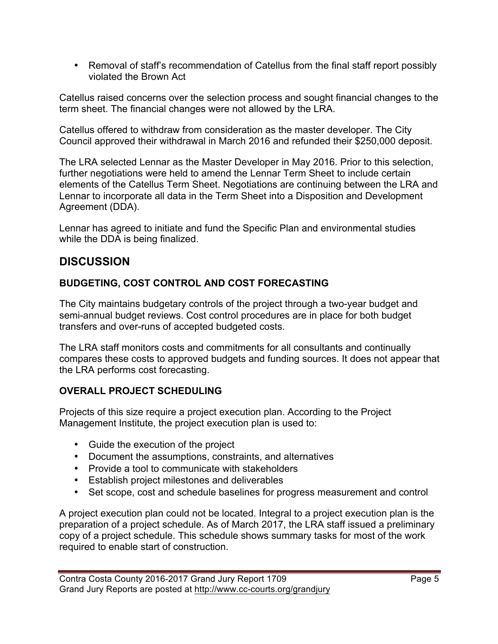• Removal of staff's recommendation of Catellus from the final staff report possibly violated the Brown Act

Catellus raised concerns over the selection process and sought financial changes to the term sheet. The financial changes were not allowed by the LRA.

Catellus offered to withdraw from consideration as the master developer. The City Council approved their withdrawal in March 2016 and refunded their \$250,000 deposit.

The LRA selected Lennar as the Master Developer in May 2016. Prior to this selection, further negotiations were held to amend the Lennar Term Sheet to include certain elements of the Catellus Term Sheet. Negotiations are continuing between the LRA and Lennar to incorporate all data in the Term Sheet into a Disposition and Development Agreement (DDA).

Lennar has agreed to initiate and fund the Specific Plan and environmental studies while the DDA is being finalized.

# **DISCUSSION**

#### **BUDGETING, COST CONTROL AND COST FORECASTING**

The City maintains budgetary controls of the project through a two-year budget and semi-annual budget reviews. Cost control procedures are in place for both budget transfers and over-runs of accepted budgeted costs.

The LRA staff monitors costs and commitments for all consultants and continually compares these costs to approved budgets and funding sources. It does not appear that the LRA performs cost forecasting.

#### **OVERALL PROJECT SCHEDULING**

Projects of this size require a project execution plan. According to the Project Management Institute, the project execution plan is used to:

- Guide the execution of the project
- Document the assumptions, constraints, and alternatives
- Provide a tool to communicate with stakeholders
- Establish project milestones and deliverables
- Set scope, cost and schedule baselines for progress measurement and control

A project execution plan could not be located. Integral to a project execution plan is the preparation of a project schedule. As of March 2017, the LRA staff issued a preliminary copy of a project schedule. This schedule shows summary tasks for most of the work required to enable start of construction.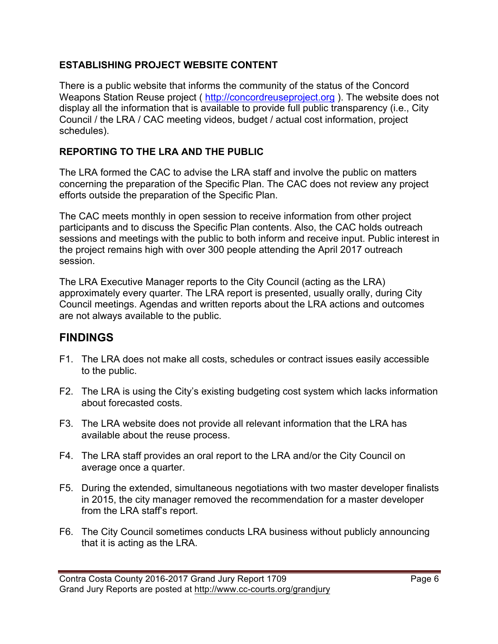#### **ESTABLISHING PROJECT WEBSITE CONTENT**

There is a public website that informs the community of the status of the Concord Weapons Station Reuse project ( http://concordreuseproject.org ). The website does not display all the information that is available to provide full public transparency (i.e., City Council / the LRA / CAC meeting videos, budget / actual cost information, project schedules).

#### **REPORTING TO THE LRA AND THE PUBLIC**

The LRA formed the CAC to advise the LRA staff and involve the public on matters concerning the preparation of the Specific Plan. The CAC does not review any project efforts outside the preparation of the Specific Plan.

The CAC meets monthly in open session to receive information from other project participants and to discuss the Specific Plan contents. Also, the CAC holds outreach sessions and meetings with the public to both inform and receive input. Public interest in the project remains high with over 300 people attending the April 2017 outreach session.

The LRA Executive Manager reports to the City Council (acting as the LRA) approximately every quarter. The LRA report is presented, usually orally, during City Council meetings. Agendas and written reports about the LRA actions and outcomes are not always available to the public.

## **FINDINGS**

- F1. The LRA does not make all costs, schedules or contract issues easily accessible to the public.
- F2. The LRA is using the City's existing budgeting cost system which lacks information about forecasted costs.
- F3. The LRA website does not provide all relevant information that the LRA has available about the reuse process.
- F4. The LRA staff provides an oral report to the LRA and/or the City Council on average once a quarter.
- F5. During the extended, simultaneous negotiations with two master developer finalists in 2015, the city manager removed the recommendation for a master developer from the LRA staff's report.
- F6. The City Council sometimes conducts LRA business without publicly announcing that it is acting as the LRA.